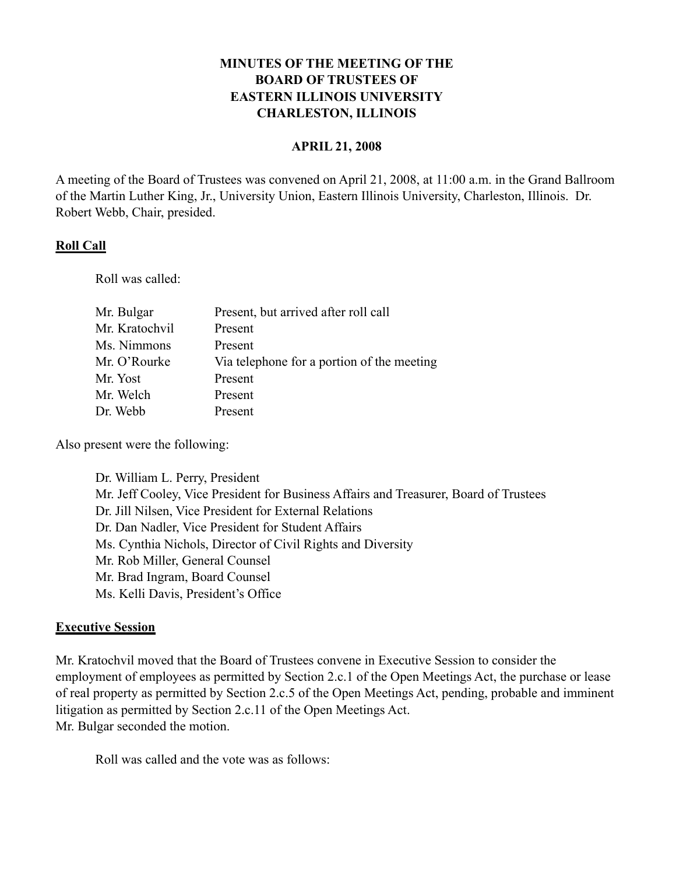# **MINUTES OF THE MEETING OF THE BOARD OF TRUSTEES OF EASTERN ILLINOIS UNIVERSITY CHARLESTON, ILLINOIS**

#### **APRIL 21, 2008**

A meeting of the Board of Trustees was convened on April 21, 2008, at 11:00 a.m. in the Grand Ballroom of the Martin Luther King, Jr., University Union, Eastern Illinois University, Charleston, Illinois. Dr. Robert Webb, Chair, presided.

### **Roll Call**

Roll was called:

| Mr. Bulgar     | Present, but arrived after roll call       |
|----------------|--------------------------------------------|
| Mr. Kratochvil | Present                                    |
| Ms. Nimmons    | Present                                    |
| Mr. O'Rourke   | Via telephone for a portion of the meeting |
| Mr. Yost       | Present                                    |
| Mr. Welch      | Present                                    |
| Dr. Webb       | Present                                    |

Also present were the following:

Dr. William L. Perry, President Mr. Jeff Cooley, Vice President for Business Affairs and Treasurer, Board of Trustees Dr. Jill Nilsen, Vice President for External Relations Dr. Dan Nadler, Vice President for Student Affairs Ms. Cynthia Nichols, Director of Civil Rights and Diversity Mr. Rob Miller, General Counsel Mr. Brad Ingram, Board Counsel Ms. Kelli Davis, President's Office

### **Executive Session**

Mr. Kratochvil moved that the Board of Trustees convene in Executive Session to consider the employment of employees as permitted by Section 2.c.1 of the Open Meetings Act, the purchase or lease of real property as permitted by Section 2.c.5 of the Open Meetings Act, pending, probable and imminent litigation as permitted by Section 2.c.11 of the Open Meetings Act. Mr. Bulgar seconded the motion.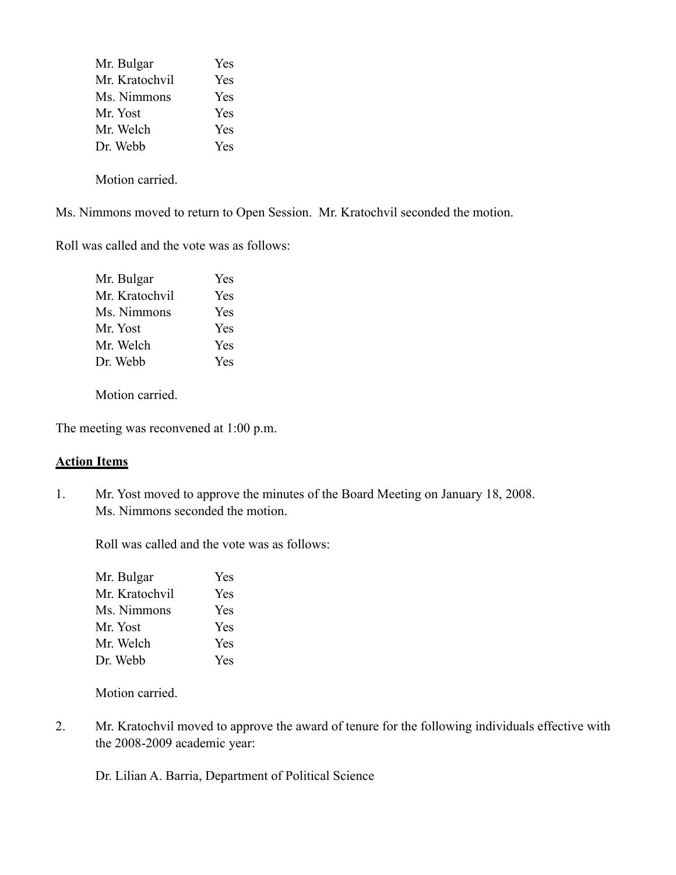| Mr. Bulgar     | <b>Yes</b> |
|----------------|------------|
| Mr. Kratochvil | <b>Yes</b> |
| Ms. Nimmons    | <b>Yes</b> |
| Mr. Yost       | <b>Yes</b> |
| Mr. Welch      | <b>Yes</b> |
| Dr. Webb       | <b>Yes</b> |
|                |            |

Motion carried.

Ms. Nimmons moved to return to Open Session. Mr. Kratochvil seconded the motion.

Roll was called and the vote was as follows:

| Mr. Bulgar     | Yes |
|----------------|-----|
| Mr. Kratochvil | Yes |
| Ms. Nimmons    | Yes |
| Mr. Yost       | Yes |
| Mr. Welch      | Yes |
| Dr. Webb       | Yes |

Motion carried.

The meeting was reconvened at 1:00 p.m.

### **Action Items**

1. Mr. Yost moved to approve the minutes of the Board Meeting on January 18, 2008. Ms. Nimmons seconded the motion.

Roll was called and the vote was as follows:

| Mr. Bulgar     | Yes |
|----------------|-----|
| Mr. Kratochvil | Yes |
| Ms. Nimmons    | Yes |
| Mr. Yost       | Yes |
| Mr. Welch      | Yes |
| Dr. Webb       | Yes |

Motion carried.

2. Mr. Kratochvil moved to approve the award of tenure for the following individuals effective with the 2008-2009 academic year:

Dr. Lilian A. Barria, Department of Political Science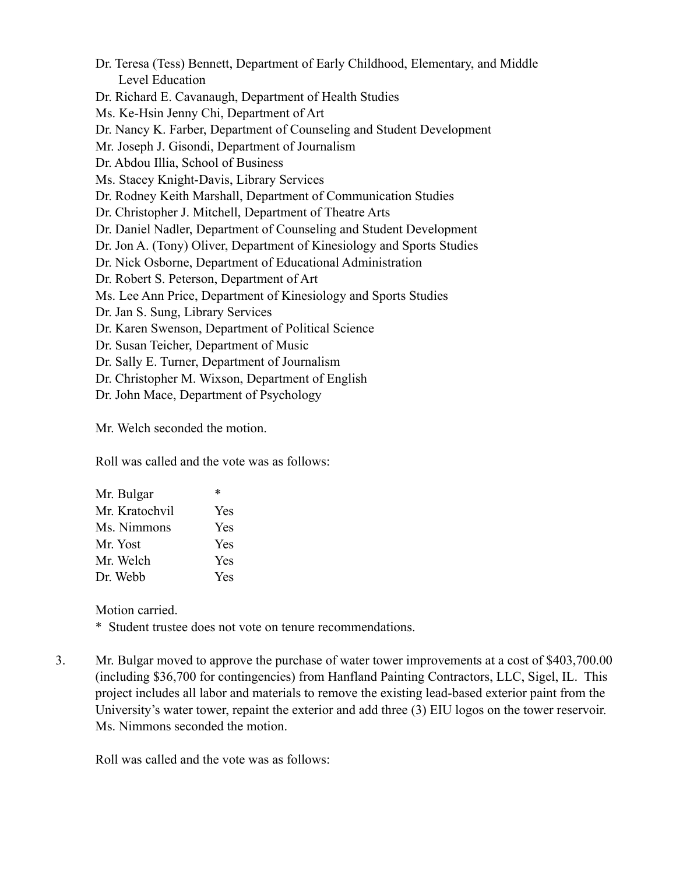Dr. Teresa (Tess) Bennett, Department of Early Childhood, Elementary, and Middle Level Education Dr. Richard E. Cavanaugh, Department of Health Studies Ms. Ke-Hsin Jenny Chi, Department of Art Dr. Nancy K. Farber, Department of Counseling and Student Development Mr. Joseph J. Gisondi, Department of Journalism Dr. Abdou Illia, School of Business Ms. Stacey Knight-Davis, Library Services Dr. Rodney Keith Marshall, Department of Communication Studies Dr. Christopher J. Mitchell, Department of Theatre Arts Dr. Daniel Nadler, Department of Counseling and Student Development Dr. Jon A. (Tony) Oliver, Department of Kinesiology and Sports Studies Dr. Nick Osborne, Department of Educational Administration Dr. Robert S. Peterson, Department of Art Ms. Lee Ann Price, Department of Kinesiology and Sports Studies Dr. Jan S. Sung, Library Services Dr. Karen Swenson, Department of Political Science Dr. Susan Teicher, Department of Music Dr. Sally E. Turner, Department of Journalism Dr. Christopher M. Wixson, Department of English Dr. John Mace, Department of Psychology

Mr. Welch seconded the motion.

Roll was called and the vote was as follows:

| Mr. Bulgar     | $\ast$ |
|----------------|--------|
| Mr. Kratochvil | Yes    |
| Ms. Nimmons    | Yes    |
| Mr. Yost       | Yes    |
| Mr. Welch      | Yes    |
| Dr. Webb       | Yes    |

Motion carried.

\* Student trustee does not vote on tenure recommendations.

3. Mr. Bulgar moved to approve the purchase of water tower improvements at a cost of \$403,700.00 (including \$36,700 for contingencies) from Hanfland Painting Contractors, LLC, Sigel, IL. This project includes all labor and materials to remove the existing lead-based exterior paint from the University's water tower, repaint the exterior and add three (3) EIU logos on the tower reservoir. Ms. Nimmons seconded the motion.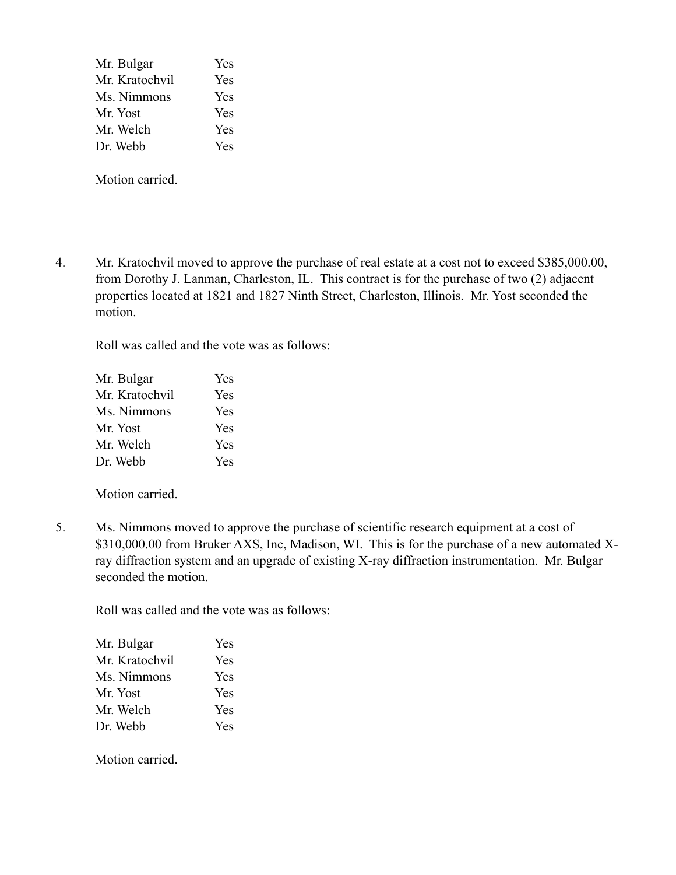| Mr. Bulgar     | Yes |
|----------------|-----|
| Mr. Kratochvil | Yes |
| Ms. Nimmons    | Yes |
| Mr. Yost       | Yes |
| Mr. Welch      | Yes |
| Dr. Webb       | Yes |

Motion carried.

4. Mr. Kratochvil moved to approve the purchase of real estate at a cost not to exceed \$385,000.00, from Dorothy J. Lanman, Charleston, IL. This contract is for the purchase of two (2) adjacent properties located at 1821 and 1827 Ninth Street, Charleston, Illinois. Mr. Yost seconded the motion.

Roll was called and the vote was as follows:

| Mr. Bulgar     | Yes |
|----------------|-----|
| Mr. Kratochvil | Yes |
| Ms. Nimmons    | Yes |
| Mr. Yost       | Yes |
| Mr. Welch      | Yes |
| Dr. Webb       | Yes |

Motion carried.

5. Ms. Nimmons moved to approve the purchase of scientific research equipment at a cost of \$310,000.00 from Bruker AXS, Inc, Madison, WI. This is for the purchase of a new automated Xray diffraction system and an upgrade of existing X-ray diffraction instrumentation. Mr. Bulgar seconded the motion.

Roll was called and the vote was as follows:

| Mr. Bulgar     | <b>Yes</b> |
|----------------|------------|
| Mr. Kratochvil | Yes        |
| Ms. Nimmons    | Yes        |
| Mr. Yost       | Yes        |
| Mr. Welch      | Yes        |
| Dr. Webb       | Yes        |

Motion carried.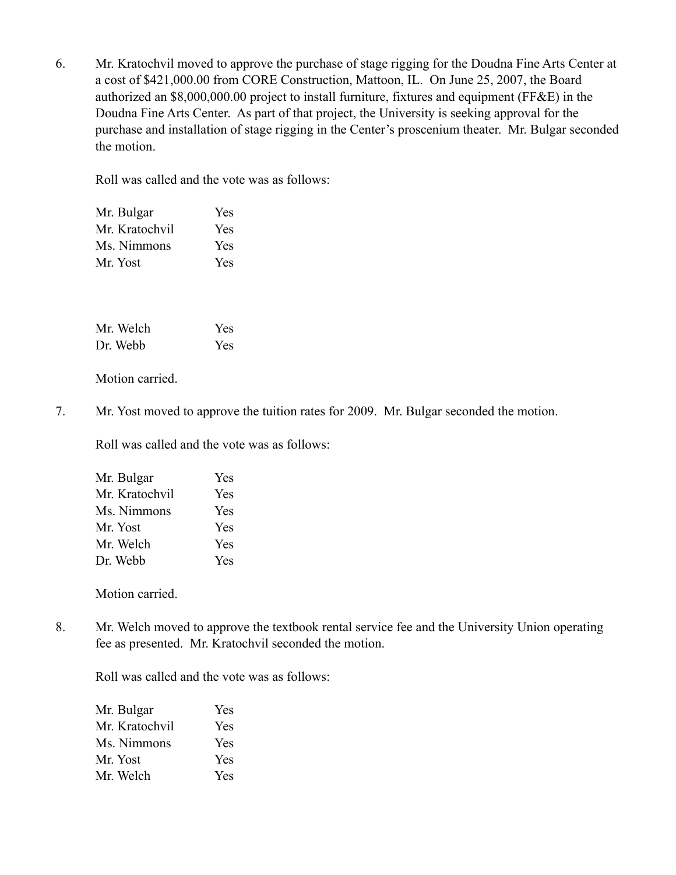6. Mr. Kratochvil moved to approve the purchase of stage rigging for the Doudna Fine Arts Center at a cost of \$421,000.00 from CORE Construction, Mattoon, IL. On June 25, 2007, the Board authorized an \$8,000,000.00 project to install furniture, fixtures and equipment (FF&E) in the Doudna Fine Arts Center. As part of that project, the University is seeking approval for the purchase and installation of stage rigging in the Center's proscenium theater. Mr. Bulgar seconded the motion.

Roll was called and the vote was as follows:

| Mr. Bulgar     | Yes |
|----------------|-----|
| Mr. Kratochvil | Yes |
| Ms. Nimmons    | Yes |
| Mr. Yost       | Yes |

| Mr. Welch | Yes |
|-----------|-----|
| Dr. Webb  | Yes |

Motion carried.

7. Mr. Yost moved to approve the tuition rates for 2009. Mr. Bulgar seconded the motion.

Roll was called and the vote was as follows:

| Mr. Bulgar     | Yes |
|----------------|-----|
| Mr. Kratochvil | Yes |
| Ms. Nimmons    | Yes |
| Mr. Yost       | Yes |
| Mr. Welch      | Yes |
| Dr. Webb       | Yes |

Motion carried.

8. Mr. Welch moved to approve the textbook rental service fee and the University Union operating fee as presented. Mr. Kratochvil seconded the motion.

| Mr. Bulgar     | <b>Yes</b> |
|----------------|------------|
| Mr. Kratochvil | <b>Yes</b> |
| Ms. Nimmons    | <b>Yes</b> |
| Mr. Yost       | <b>Yes</b> |
| Mr. Welch      | <b>Yes</b> |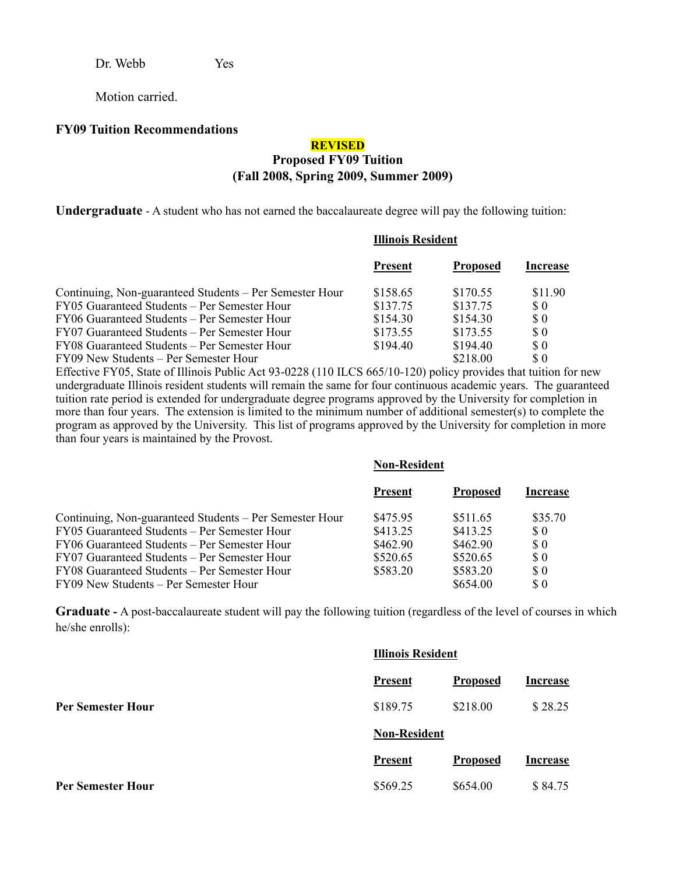Dr. Webb Yes

Motion carried.

#### **FY09 Tuition Recommendations**

### **REVISED Proposed FY09 Tuition (Fall 2008, Spring 2009, Summer 2009)**

**Undergraduate** - A student who has not earned the baccalaureate degree will pay the following tuition:

#### **Illinois Resident**

|                                                         | <b>Present</b> | <b>Proposed</b> | Increase                    |
|---------------------------------------------------------|----------------|-----------------|-----------------------------|
| Continuing, Non-guaranteed Students – Per Semester Hour | \$158.65       | \$170.55        | \$11.90                     |
| FY05 Guaranteed Students – Per Semester Hour            | \$137.75       | \$137.75        | S 0                         |
| FY06 Guaranteed Students – Per Semester Hour            | \$154.30       | \$154.30        | $\Omega$                    |
| FY07 Guaranteed Students – Per Semester Hour            | \$173.55       | \$173.55        | $\boldsymbol{\mathsf{S}}$ 0 |
| FY08 Guaranteed Students – Per Semester Hour            | \$194.40       | \$194.40        | $\boldsymbol{\mathsf{S}}$ 0 |
| FY09 New Students – Per Semester Hour                   |                | \$218.00        | $\boldsymbol{\mathsf{S}}$ 0 |

Effective FY05, State of Illinois Public Act 93-0228 (110 ILCS 665/10-120) policy provides that tuition for new undergraduate Illinois resident students will remain the same for four continuous academic years. The guaranteed tuition rate period is extended for undergraduate degree programs approved by the University for completion in more than four years. The extension is limited to the minimum number of additional semester(s) to complete the program as approved by the University. This list of programs approved by the University for completion in more than four years is maintained by the Provost.

|                                                         | <b>Non-Resident</b> |                 |                             |
|---------------------------------------------------------|---------------------|-----------------|-----------------------------|
|                                                         | <b>Present</b>      | <b>Proposed</b> | Increase                    |
| Continuing, Non-guaranteed Students – Per Semester Hour | \$475.95            | \$511.65        | \$35.70                     |
| FY05 Guaranteed Students – Per Semester Hour            | \$413.25            | \$413.25        | $\boldsymbol{\mathsf{S}}$ 0 |
| FY06 Guaranteed Students – Per Semester Hour            | \$462.90            | \$462.90        | $\boldsymbol{\mathsf{S}}$ 0 |
| FY07 Guaranteed Students – Per Semester Hour            | \$520.65            | \$520.65        | \$0                         |
| FY08 Guaranteed Students – Per Semester Hour            | \$583.20            | \$583.20        | \$0                         |
| FY09 New Students – Per Semester Hour                   |                     | \$654.00        | $\$ 0$                      |

**Graduate -** A post-baccalaureate student will pay the following tuition (regardless of the level of courses in which he/she enrolls):

|                          | <b>Illinois Resident</b> |                 |                 |
|--------------------------|--------------------------|-----------------|-----------------|
|                          | <b>Present</b>           | <b>Proposed</b> | <b>Increase</b> |
| <b>Per Semester Hour</b> | \$189.75                 | \$218.00        | \$28.25         |
|                          | <b>Non-Resident</b>      |                 |                 |
|                          | <b>Present</b>           | <b>Proposed</b> | <b>Increase</b> |
| <b>Per Semester Hour</b> | \$569.25                 | \$654.00        | \$84.75         |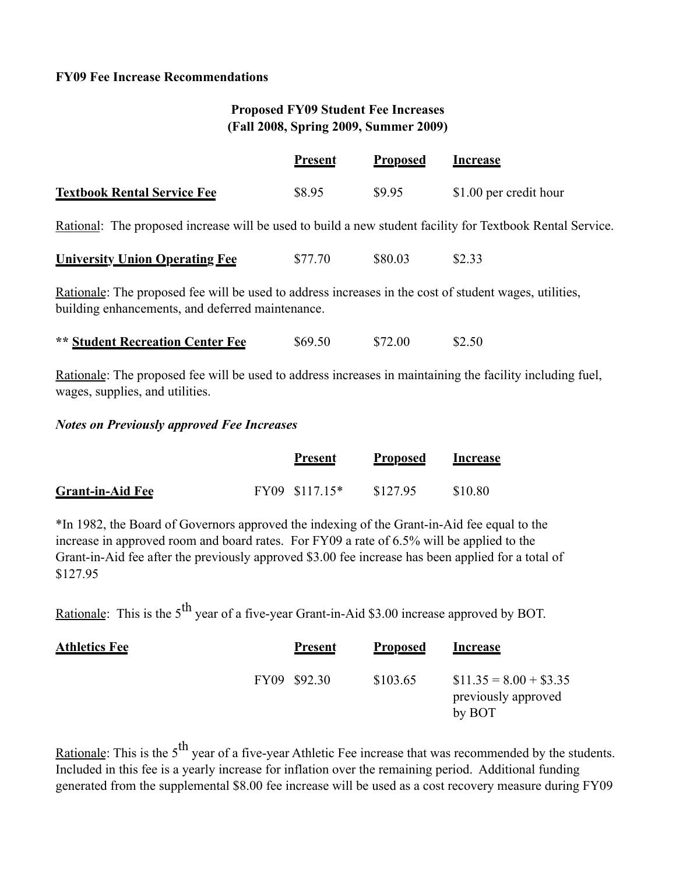## **FY09 Fee Increase Recommendations**

# **Proposed FY09 Student Fee Increases (Fall 2008, Spring 2009, Summer 2009)**

|                                                                                                           | <b>Present</b> | <b>Proposed</b> | <b>Increase</b>        |
|-----------------------------------------------------------------------------------------------------------|----------------|-----------------|------------------------|
| <b>Textbook Rental Service Fee</b>                                                                        | \$8.95         | \$9.95          | \$1.00 per credit hour |
| Rational: The proposed increase will be used to build a new student facility for Textbook Rental Service. |                |                 |                        |
| <b>University Union Operating Fee</b>                                                                     | \$77.70        | \$80.03         | \$2.33                 |
| Rationale: The proposed fee will be used to address increases in the cost of student wages, utilities,    |                |                 |                        |

building enhancements, and deferred maintenance.

| <b>** Student Recreation Center Fee</b> | \$69.50 | \$72.00 | \$2.50 |
|-----------------------------------------|---------|---------|--------|
|-----------------------------------------|---------|---------|--------|

Rationale: The proposed fee will be used to address increases in maintaining the facility including fuel, wages, supplies, and utilities.

## *Notes on Previously approved Fee Increases*

|                         | <b>Present</b> | <b>Proposed</b> | Increase |
|-------------------------|----------------|-----------------|----------|
| <b>Grant-in-Aid Fee</b> | FY09 \$117.15* | \$127.95        | \$10.80  |

\*In 1982, the Board of Governors approved the indexing of the Grant-in-Aid fee equal to the increase in approved room and board rates. For FY09 a rate of 6.5% will be applied to the Grant-in-Aid fee after the previously approved \$3.00 fee increase has been applied for a total of \$127.95

Rationale: This is the  $5<sup>th</sup>$  year of a five-year Grant-in-Aid \$3.00 increase approved by BOT.

| <b>Athletics Fee</b> | <b>Present</b> | <b>Proposed</b> | <b>Increase</b>                                          |
|----------------------|----------------|-----------------|----------------------------------------------------------|
|                      | FY09 \$92.30   | \$103.65        | $$11.35 = 8.00 + $3.35$<br>previously approved<br>by BOT |

Rationale: This is the  $5<sup>th</sup>$  year of a five-year Athletic Fee increase that was recommended by the students. Included in this fee is a yearly increase for inflation over the remaining period. Additional funding generated from the supplemental \$8.00 fee increase will be used as a cost recovery measure during FY09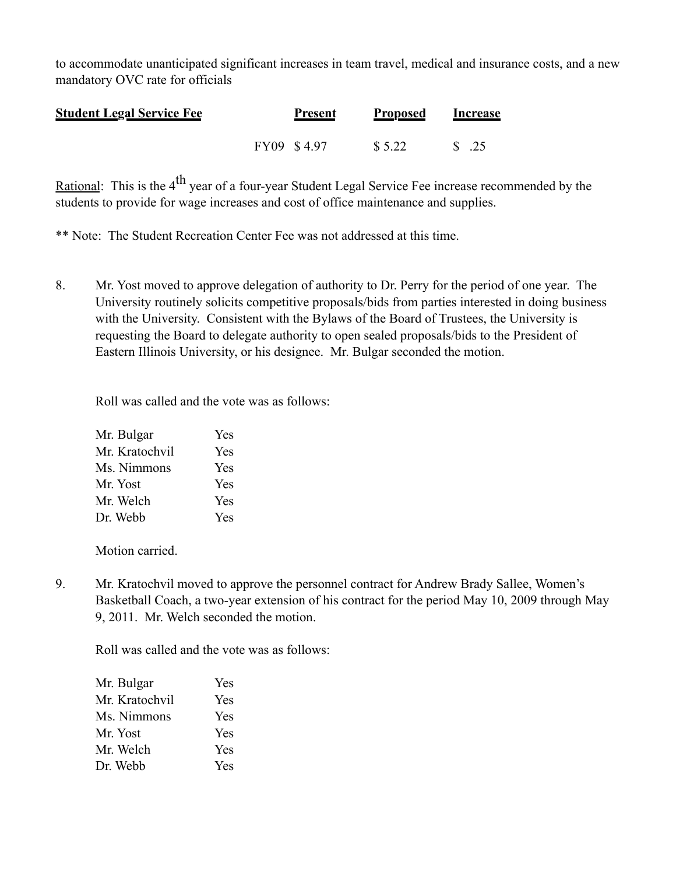to accommodate unanticipated significant increases in team travel, medical and insurance costs, and a new mandatory OVC rate for officials

| <b>Student Legal Service Fee</b> | <b>Present</b> | <b>Proposed</b> | Increase       |
|----------------------------------|----------------|-----------------|----------------|
|                                  | FY09 \$4.97    | \$5.22          | $\text{S}$ .25 |

Rational: This is the  $4<sup>th</sup>$  year of a four-year Student Legal Service Fee increase recommended by the students to provide for wage increases and cost of office maintenance and supplies.

\*\* Note: The Student Recreation Center Fee was not addressed at this time.

8. Mr. Yost moved to approve delegation of authority to Dr. Perry for the period of one year. The University routinely solicits competitive proposals/bids from parties interested in doing business with the University. Consistent with the Bylaws of the Board of Trustees, the University is requesting the Board to delegate authority to open sealed proposals/bids to the President of Eastern Illinois University, or his designee. Mr. Bulgar seconded the motion.

Roll was called and the vote was as follows:

| Mr. Bulgar     | <b>Yes</b> |
|----------------|------------|
| Mr. Kratochvil | <b>Yes</b> |
| Ms. Nimmons    | <b>Yes</b> |
| Mr. Yost       | <b>Yes</b> |
| Mr. Welch      | <b>Yes</b> |
| Dr. Webb       | <b>Yes</b> |

Motion carried.

9. Mr. Kratochvil moved to approve the personnel contract for Andrew Brady Sallee, Women's Basketball Coach, a two-year extension of his contract for the period May 10, 2009 through May 9, 2011. Mr. Welch seconded the motion.

| Mr. Bulgar     | Yes |
|----------------|-----|
| Mr. Kratochvil | Yes |
| Ms. Nimmons    | Yes |
| Mr. Yost       | Yes |
| Mr. Welch      | Yes |
| Dr. Webb       | Yes |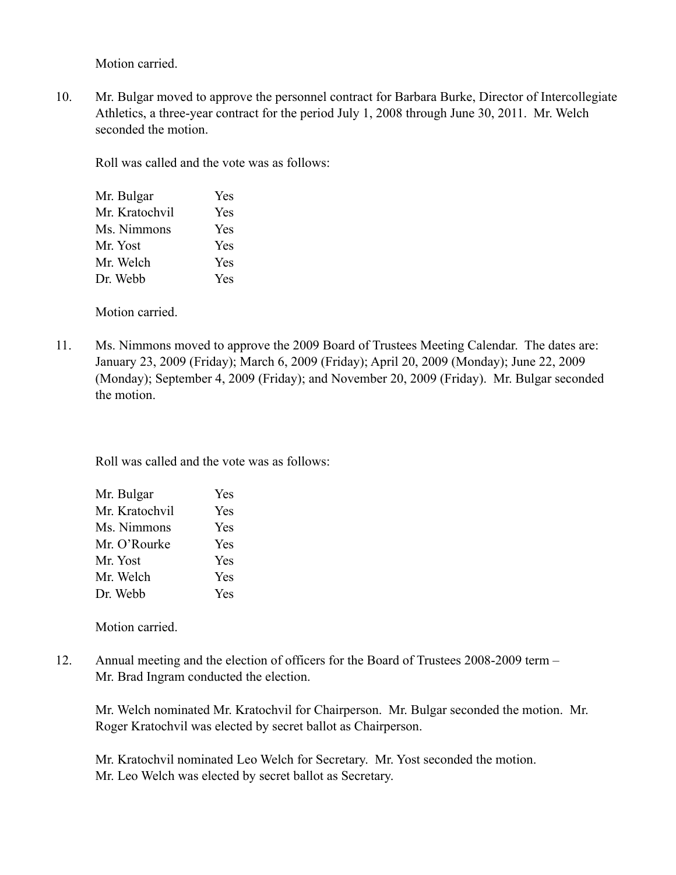Motion carried.

10. Mr. Bulgar moved to approve the personnel contract for Barbara Burke, Director of Intercollegiate Athletics, a three-year contract for the period July 1, 2008 through June 30, 2011. Mr. Welch seconded the motion.

Roll was called and the vote was as follows:

| Mr. Bulgar     | Yes |
|----------------|-----|
| Mr. Kratochvil | Yes |
| Ms. Nimmons    | Yes |
| Mr. Yost       | Yes |
| Mr. Welch      | Yes |
| Dr. Webb       | Yes |
|                |     |

Motion carried.

11. Ms. Nimmons moved to approve the 2009 Board of Trustees Meeting Calendar. The dates are: January 23, 2009 (Friday); March 6, 2009 (Friday); April 20, 2009 (Monday); June 22, 2009 (Monday); September 4, 2009 (Friday); and November 20, 2009 (Friday). Mr. Bulgar seconded the motion.

Roll was called and the vote was as follows:

| Mr. Bulgar     | Yes |
|----------------|-----|
| Mr. Kratochvil | Yes |
| Ms. Nimmons    | Yes |
| Mr. O'Rourke   | Yes |
| Mr. Yost       | Yes |
| Mr. Welch      | Yes |
| Dr. Webb       | Yes |

Motion carried.

12. Annual meeting and the election of officers for the Board of Trustees 2008-2009 term – Mr. Brad Ingram conducted the election.

Mr. Welch nominated Mr. Kratochvil for Chairperson. Mr. Bulgar seconded the motion. Mr. Roger Kratochvil was elected by secret ballot as Chairperson.

Mr. Kratochvil nominated Leo Welch for Secretary. Mr. Yost seconded the motion. Mr. Leo Welch was elected by secret ballot as Secretary.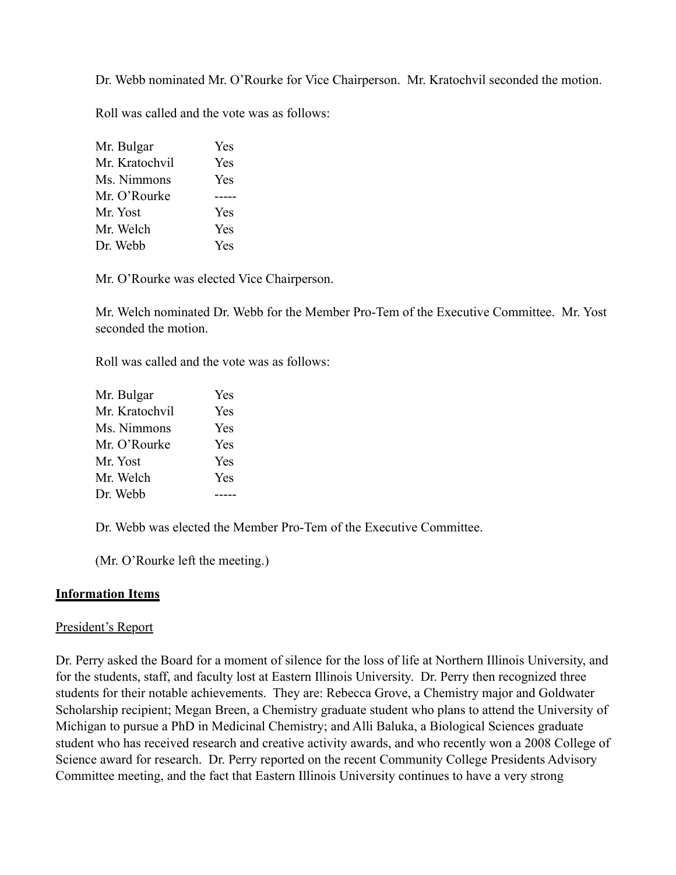Dr. Webb nominated Mr. O'Rourke for Vice Chairperson. Mr. Kratochvil seconded the motion.

Roll was called and the vote was as follows:

| Mr. Bulgar     | Yes |
|----------------|-----|
| Mr. Kratochvil | Yes |
| Ms. Nimmons    | Yes |
| Mr. O'Rourke   |     |
| Mr. Yost       | Yes |
| Mr. Welch      | Yes |
| Dr. Webb       | Yes |

Mr. O'Rourke was elected Vice Chairperson.

Mr. Welch nominated Dr. Webb for the Member Pro-Tem of the Executive Committee. Mr. Yost seconded the motion.

Roll was called and the vote was as follows:

| Mr. Bulgar     | Yes |
|----------------|-----|
| Mr. Kratochvil | Yes |
| Ms. Nimmons    | Yes |
| Mr. O'Rourke   | Yes |
| Mr. Yost       | Yes |
| Mr. Welch      | Yes |
| Dr. Webb       |     |

Dr. Webb was elected the Member Pro-Tem of the Executive Committee.

(Mr. O'Rourke left the meeting.)

### **Information Items**

### President's Report

Dr. Perry asked the Board for a moment of silence for the loss of life at Northern Illinois University, and for the students, staff, and faculty lost at Eastern Illinois University. Dr. Perry then recognized three students for their notable achievements. They are: Rebecca Grove, a Chemistry major and Goldwater Scholarship recipient; Megan Breen, a Chemistry graduate student who plans to attend the University of Michigan to pursue a PhD in Medicinal Chemistry; and Alli Baluka, a Biological Sciences graduate student who has received research and creative activity awards, and who recently won a 2008 College of Science award for research. Dr. Perry reported on the recent Community College Presidents Advisory Committee meeting, and the fact that Eastern Illinois University continues to have a very strong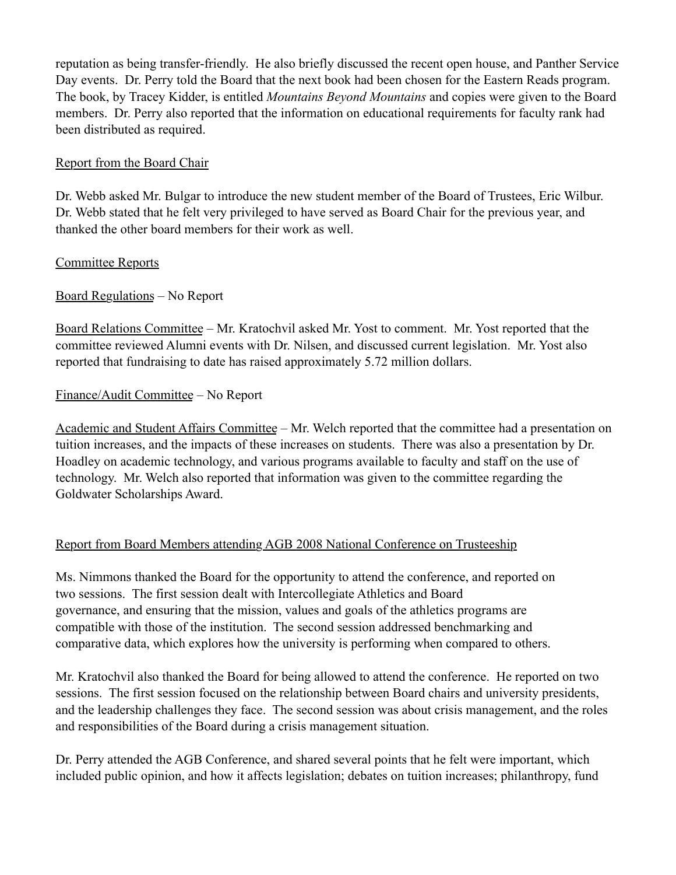reputation as being transfer-friendly. He also briefly discussed the recent open house, and Panther Service Day events. Dr. Perry told the Board that the next book had been chosen for the Eastern Reads program. The book, by Tracey Kidder, is entitled *Mountains Beyond Mountains* and copies were given to the Board members. Dr. Perry also reported that the information on educational requirements for faculty rank had been distributed as required.

# Report from the Board Chair

Dr. Webb asked Mr. Bulgar to introduce the new student member of the Board of Trustees, Eric Wilbur. Dr. Webb stated that he felt very privileged to have served as Board Chair for the previous year, and thanked the other board members for their work as well.

# Committee Reports

# Board Regulations – No Report

Board Relations Committee – Mr. Kratochvil asked Mr. Yost to comment. Mr. Yost reported that the committee reviewed Alumni events with Dr. Nilsen, and discussed current legislation. Mr. Yost also reported that fundraising to date has raised approximately 5.72 million dollars.

# Finance/Audit Committee – No Report

Academic and Student Affairs Committee – Mr. Welch reported that the committee had a presentation on tuition increases, and the impacts of these increases on students. There was also a presentation by Dr. Hoadley on academic technology, and various programs available to faculty and staff on the use of technology. Mr. Welch also reported that information was given to the committee regarding the Goldwater Scholarships Award.

# Report from Board Members attending AGB 2008 National Conference on Trusteeship

Ms. Nimmons thanked the Board for the opportunity to attend the conference, and reported on two sessions. The first session dealt with Intercollegiate Athletics and Board governance, and ensuring that the mission, values and goals of the athletics programs are compatible with those of the institution. The second session addressed benchmarking and comparative data, which explores how the university is performing when compared to others.

Mr. Kratochvil also thanked the Board for being allowed to attend the conference. He reported on two sessions. The first session focused on the relationship between Board chairs and university presidents, and the leadership challenges they face. The second session was about crisis management, and the roles and responsibilities of the Board during a crisis management situation.

Dr. Perry attended the AGB Conference, and shared several points that he felt were important, which included public opinion, and how it affects legislation; debates on tuition increases; philanthropy, fund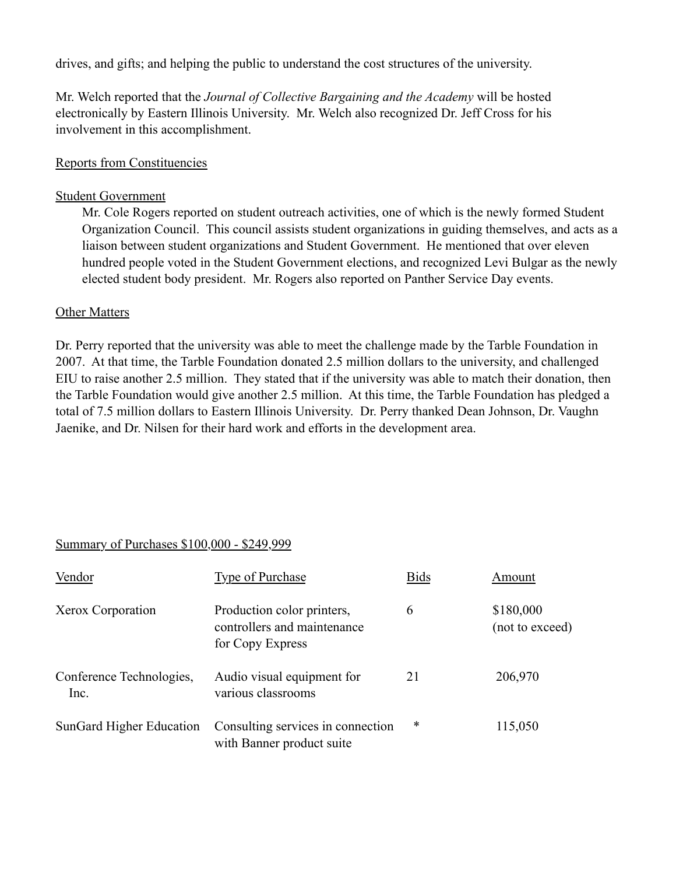drives, and gifts; and helping the public to understand the cost structures of the university.

Mr. Welch reported that the *Journal of Collective Bargaining and the Academy* will be hosted electronically by Eastern Illinois University. Mr. Welch also recognized Dr. Jeff Cross for his involvement in this accomplishment.

## Reports from Constituencies

### Student Government

Mr. Cole Rogers reported on student outreach activities, one of which is the newly formed Student Organization Council. This council assists student organizations in guiding themselves, and acts as a liaison between student organizations and Student Government. He mentioned that over eleven hundred people voted in the Student Government elections, and recognized Levi Bulgar as the newly elected student body president. Mr. Rogers also reported on Panther Service Day events.

## Other Matters

Dr. Perry reported that the university was able to meet the challenge made by the Tarble Foundation in 2007. At that time, the Tarble Foundation donated 2.5 million dollars to the university, and challenged EIU to raise another 2.5 million. They stated that if the university was able to match their donation, then the Tarble Foundation would give another 2.5 million. At this time, the Tarble Foundation has pledged a total of 7.5 million dollars to Eastern Illinois University. Dr. Perry thanked Dean Johnson, Dr. Vaughn Jaenike, and Dr. Nilsen for their hard work and efforts in the development area.

# Summary of Purchases \$100,000 - \$249,999

| Vendor                           | <b>Type of Purchase</b>                                                       | <b>Bids</b> | Amount                       |
|----------------------------------|-------------------------------------------------------------------------------|-------------|------------------------------|
| Xerox Corporation                | Production color printers,<br>controllers and maintenance<br>for Copy Express | 6           | \$180,000<br>(not to exceed) |
| Conference Technologies,<br>Inc. | Audio visual equipment for<br>various classrooms                              | 21          | 206,970                      |
| SunGard Higher Education         | Consulting services in connection<br>with Banner product suite                | $\ast$      | 115,050                      |